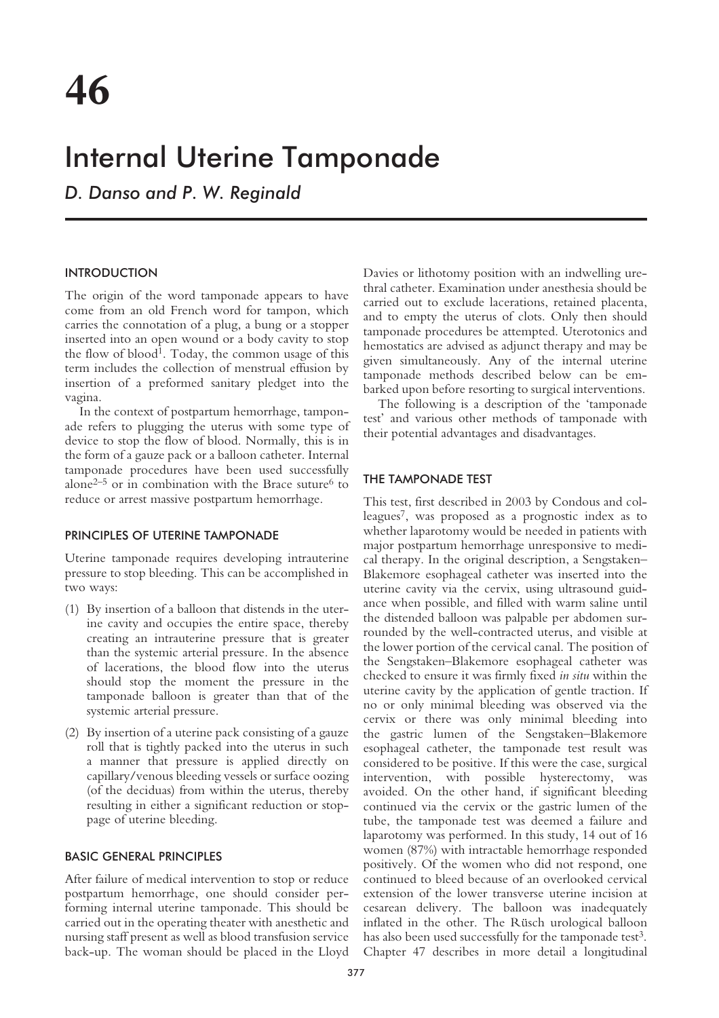# Internal Uterine Tamponade

*D. Danso and P. W. Reginald*

## INTRODUCTION

The origin of the word tamponade appears to have come from an old French word for tampon, which carries the connotation of a plug, a bung or a stopper inserted into an open wound or a body cavity to stop the flow of blood<sup>1</sup>. Today, the common usage of this term includes the collection of menstrual effusion by insertion of a preformed sanitary pledget into the vagina.

In the context of postpartum hemorrhage, tamponade refers to plugging the uterus with some type of device to stop the flow of blood. Normally, this is in the form of a gauze pack or a balloon catheter. Internal tamponade procedures have been used successfully alone<sup>2–5</sup> or in combination with the Brace suture<sup>6</sup> to reduce or arrest massive postpartum hemorrhage.

#### PRINCIPLES OF UTERINE TAMPONADE

Uterine tamponade requires developing intrauterine pressure to stop bleeding. This can be accomplished in two ways:

- (1) By insertion of a balloon that distends in the uterine cavity and occupies the entire space, thereby creating an intrauterine pressure that is greater than the systemic arterial pressure. In the absence of lacerations, the blood flow into the uterus should stop the moment the pressure in the tamponade balloon is greater than that of the systemic arterial pressure.
- (2) By insertion of a uterine pack consisting of a gauze roll that is tightly packed into the uterus in such a manner that pressure is applied directly on capillary/venous bleeding vessels or surface oozing (of the deciduas) from within the uterus, thereby resulting in either a significant reduction or stoppage of uterine bleeding.

#### BASIC GENERAL PRINCIPLES

After failure of medical intervention to stop or reduce postpartum hemorrhage, one should consider performing internal uterine tamponade. This should be carried out in the operating theater with anesthetic and nursing staff present as well as blood transfusion service back-up. The woman should be placed in the Lloyd

Davies or lithotomy position with an indwelling urethral catheter. Examination under anesthesia should be carried out to exclude lacerations, retained placenta, and to empty the uterus of clots. Only then should tamponade procedures be attempted. Uterotonics and hemostatics are advised as adjunct therapy and may be given simultaneously. Any of the internal uterine tamponade methods described below can be embarked upon before resorting to surgical interventions.

The following is a description of the 'tamponade test' and various other methods of tamponade with their potential advantages and disadvantages.

#### THE TAMPONADE TEST

This test, first described in 2003 by Condous and colleagues7, was proposed as a prognostic index as to whether laparotomy would be needed in patients with major postpartum hemorrhage unresponsive to medical therapy. In the original description, a Sengstaken– Blakemore esophageal catheter was inserted into the uterine cavity via the cervix, using ultrasound guidance when possible, and filled with warm saline until the distended balloon was palpable per abdomen surrounded by the well-contracted uterus, and visible at the lower portion of the cervical canal. The position of the Sengstaken–Blakemore esophageal catheter was checked to ensure it was firmly fixed *in situ* within the uterine cavity by the application of gentle traction. If no or only minimal bleeding was observed via the cervix or there was only minimal bleeding into the gastric lumen of the Sengstaken–Blakemore esophageal catheter, the tamponade test result was considered to be positive. If this were the case, surgical intervention, with possible hysterectomy, was avoided. On the other hand, if significant bleeding continued via the cervix or the gastric lumen of the tube, the tamponade test was deemed a failure and laparotomy was performed. In this study, 14 out of 16 women (87%) with intractable hemorrhage responded positively. Of the women who did not respond, one continued to bleed because of an overlooked cervical extension of the lower transverse uterine incision at cesarean delivery. The balloon was inadequately inflated in the other. The Rüsch urological balloon has also been used successfully for the tamponade test<sup>3</sup>. Chapter 47 describes in more detail a longitudinal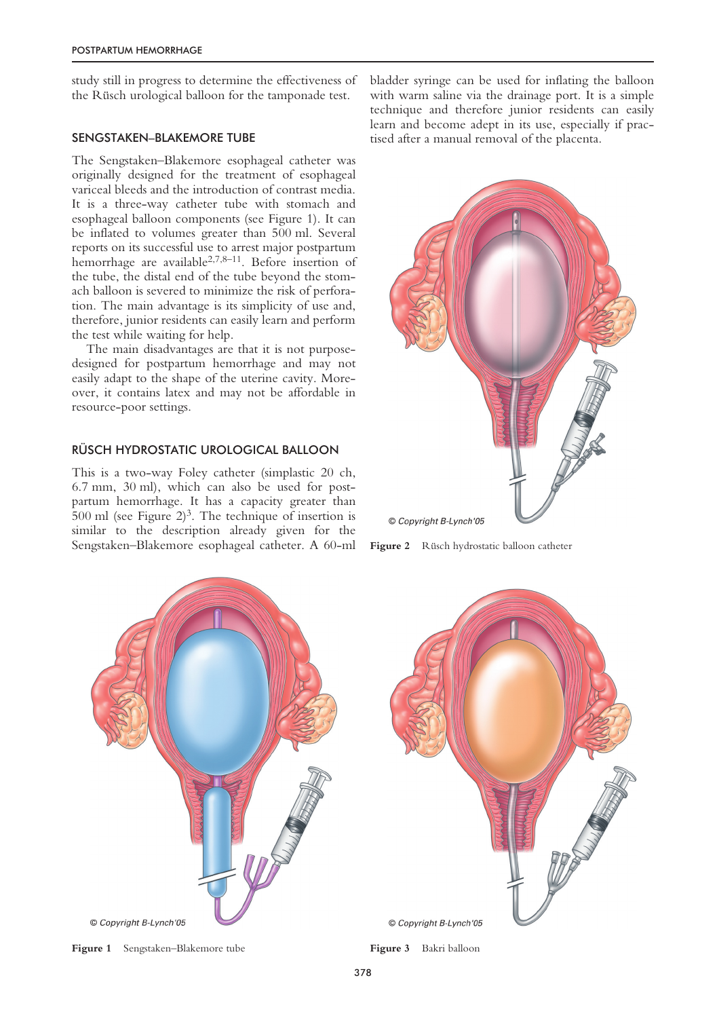study still in progress to determine the effectiveness of the Rüsch urological balloon for the tamponade test.

#### SENGSTAKEN–BLAKEMORE TUBE

The Sengstaken–Blakemore esophageal catheter was originally designed for the treatment of esophageal variceal bleeds and the introduction of contrast media. It is a three-way catheter tube with stomach and esophageal balloon components (see Figure 1). It can be inflated to volumes greater than 500 ml. Several reports on its successful use to arrest major postpartum hemorrhage are available<sup>2,7,8-11</sup>. Before insertion of the tube, the distal end of the tube beyond the stomach balloon is severed to minimize the risk of perforation. The main advantage is its simplicity of use and, therefore, junior residents can easily learn and perform the test while waiting for help.

The main disadvantages are that it is not purposedesigned for postpartum hemorrhage and may not easily adapt to the shape of the uterine cavity. Moreover, it contains latex and may not be affordable in resource-poor settings.

## RÜSCH HYDROSTATIC UROLOGICAL BALLOON

This is a two-way Foley catheter (simplastic 20 ch, 6.7 mm, 30 ml), which can also be used for postpartum hemorrhage. It has a capacity greater than 500 ml (see Figure  $2^3$ ). The technique of insertion is similar to the description already given for the Sengstaken–Blakemore esophageal catheter. A 60-ml bladder syringe can be used for inflating the balloon with warm saline via the drainage port. It is a simple technique and therefore junior residents can easily learn and become adept in its use, especially if practised after a manual removal of the placenta.



**Figure 2** Rüsch hydrostatic balloon catheter

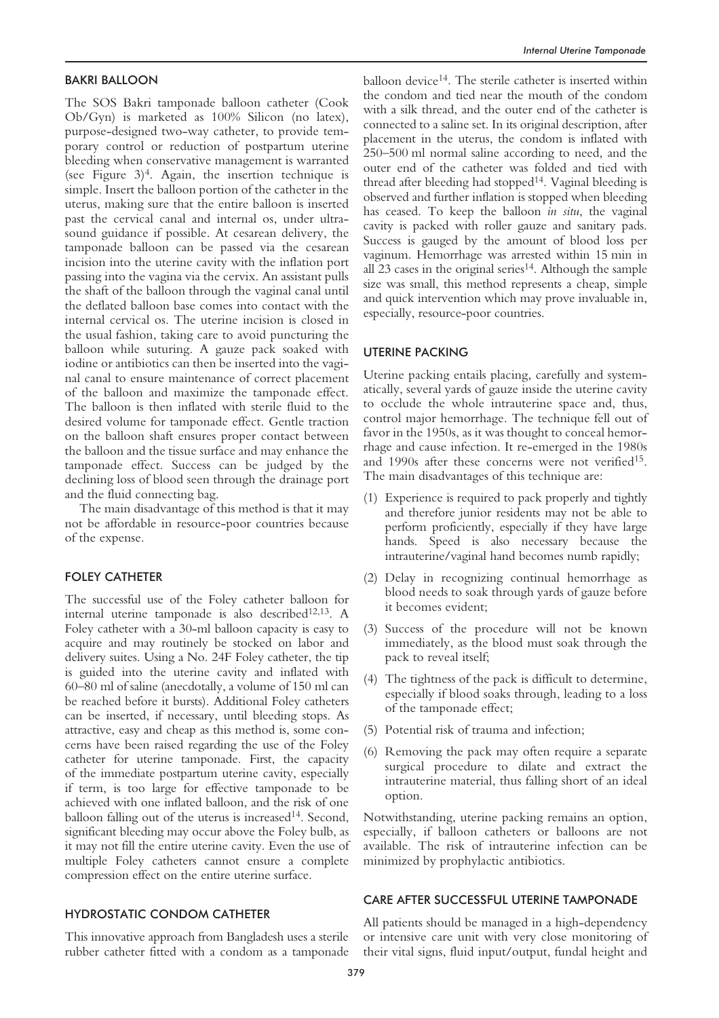#### BAKRI BALLOON

The SOS Bakri tamponade balloon catheter (Cook Ob/Gyn) is marketed as 100% Silicon (no latex), purpose-designed two-way catheter, to provide temporary control or reduction of postpartum uterine bleeding when conservative management is warranted (see Figure  $3$ )<sup>4</sup>. Again, the insertion technique is simple. Insert the balloon portion of the catheter in the uterus, making sure that the entire balloon is inserted past the cervical canal and internal os, under ultrasound guidance if possible. At cesarean delivery, the tamponade balloon can be passed via the cesarean incision into the uterine cavity with the inflation port passing into the vagina via the cervix. An assistant pulls the shaft of the balloon through the vaginal canal until the deflated balloon base comes into contact with the internal cervical os. The uterine incision is closed in the usual fashion, taking care to avoid puncturing the balloon while suturing. A gauze pack soaked with iodine or antibiotics can then be inserted into the vaginal canal to ensure maintenance of correct placement of the balloon and maximize the tamponade effect. The balloon is then inflated with sterile fluid to the desired volume for tamponade effect. Gentle traction on the balloon shaft ensures proper contact between the balloon and the tissue surface and may enhance the tamponade effect. Success can be judged by the declining loss of blood seen through the drainage port and the fluid connecting bag.

The main disadvantage of this method is that it may not be affordable in resource-poor countries because of the expense.

## FOLEY CATHETER

The successful use of the Foley catheter balloon for internal uterine tamponade is also described<sup>12,13</sup>. A Foley catheter with a 30-ml balloon capacity is easy to acquire and may routinely be stocked on labor and delivery suites. Using a No. 24F Foley catheter, the tip is guided into the uterine cavity and inflated with 60–80 ml of saline (anecdotally, a volume of 150 ml can be reached before it bursts). Additional Foley catheters can be inserted, if necessary, until bleeding stops. As attractive, easy and cheap as this method is, some concerns have been raised regarding the use of the Foley catheter for uterine tamponade. First, the capacity of the immediate postpartum uterine cavity, especially if term, is too large for effective tamponade to be achieved with one inflated balloon, and the risk of one balloon falling out of the uterus is increased<sup>14</sup>. Second, significant bleeding may occur above the Foley bulb, as it may not fill the entire uterine cavity. Even the use of multiple Foley catheters cannot ensure a complete compression effect on the entire uterine surface.

## HYDROSTATIC CONDOM CATHETER

This innovative approach from Bangladesh uses a sterile rubber catheter fitted with a condom as a tamponade

balloon device<sup>14</sup>. The sterile catheter is inserted within the condom and tied near the mouth of the condom with a silk thread, and the outer end of the catheter is connected to a saline set. In its original description, after placement in the uterus, the condom is inflated with 250–500 ml normal saline according to need, and the outer end of the catheter was folded and tied with thread after bleeding had stopped14. Vaginal bleeding is observed and further inflation is stopped when bleeding has ceased. To keep the balloon *in situ*, the vaginal cavity is packed with roller gauze and sanitary pads. Success is gauged by the amount of blood loss per vaginum. Hemorrhage was arrested within 15 min in all 23 cases in the original series $14$ . Although the sample size was small, this method represents a cheap, simple and quick intervention which may prove invaluable in, especially, resource-poor countries.

#### UTERINE PACKING

Uterine packing entails placing, carefully and systematically, several yards of gauze inside the uterine cavity to occlude the whole intrauterine space and, thus, control major hemorrhage. The technique fell out of favor in the 1950s, as it was thought to conceal hemorrhage and cause infection. It re-emerged in the 1980s and 1990s after these concerns were not verified15. The main disadvantages of this technique are:

- (1) Experience is required to pack properly and tightly and therefore junior residents may not be able to perform proficiently, especially if they have large hands. Speed is also necessary because the intrauterine/vaginal hand becomes numb rapidly;
- (2) Delay in recognizing continual hemorrhage as blood needs to soak through yards of gauze before it becomes evident;
- (3) Success of the procedure will not be known immediately, as the blood must soak through the pack to reveal itself;
- (4) The tightness of the pack is difficult to determine, especially if blood soaks through, leading to a loss of the tamponade effect;
- (5) Potential risk of trauma and infection;
- (6) Removing the pack may often require a separate surgical procedure to dilate and extract the intrauterine material, thus falling short of an ideal option.

Notwithstanding, uterine packing remains an option, especially, if balloon catheters or balloons are not available. The risk of intrauterine infection can be minimized by prophylactic antibiotics.

## CARE AFTER SUCCESSFUL UTERINE TAMPONADE

All patients should be managed in a high-dependency or intensive care unit with very close monitoring of their vital signs, fluid input/output, fundal height and